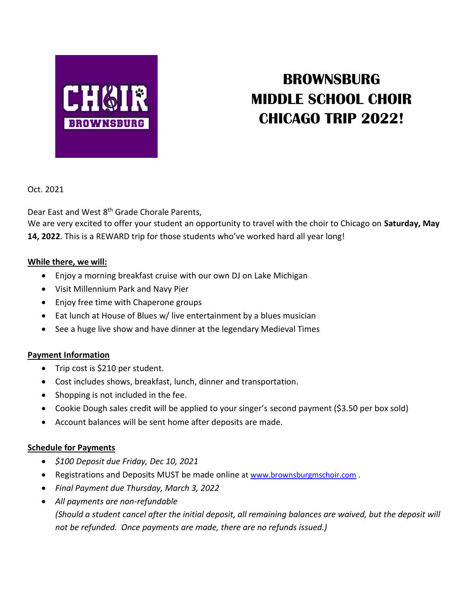

# **BROWNSBURG MIDDLE SCHOOL CHOIR CHICAGO TRIP 2022!**

Oct. 2021

Dear East and West 8<sup>th</sup> Grade Chorale Parents,

We are very excited to offer your student an opportunity to travel with the choir to Chicago on **Saturday, May 14, 2022**. This is a REWARD trip for those students who've worked hard all year long!

## **While there, we will:**

- Enjoy a morning breakfast cruise with our own DJ on Lake Michigan
- Visit Millennium Park and Navy Pier
- Enjoy free time with Chaperone groups
- Eat lunch at House of Blues w/ live entertainment by a blues musician
- See a huge live show and have dinner at the legendary Medieval Times

## **Payment Information**

- Trip cost is \$210 per student.
- Cost includes shows, breakfast, lunch, dinner and transportation.
- Shopping is not included in the fee.
- Cookie Dough sales credit will be applied to your singer's second payment (\$3.50 per box sold)
- Account balances will be sent home after deposits are made.

## **Schedule for Payments**

- *\$100 Deposit due Friday, Dec 10, 2021*
- Registrations and Deposits MUST be made online at [www.brownsburgmschoir.com](http://www.brownsburgmschoir.com/) .
- *Final Payment due Thursday, March 3, 2022*
- *All payments are non-refundable*

*(Should a student cancel after the initial deposit, all remaining balances are waived, but the deposit will not be refunded. Once payments are made, there are no refunds issued.)*